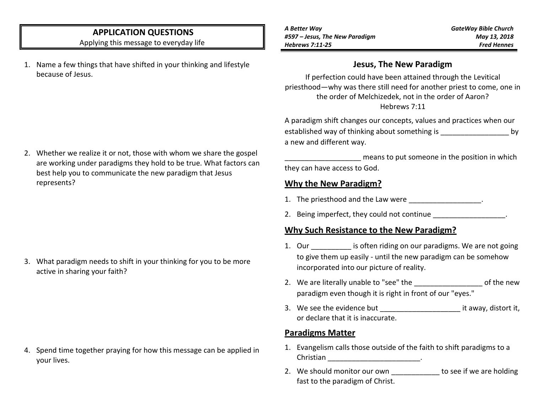## **APPLICATION QUESTIONS**

Applying this message to everyday life

1. Name a few things that have shifted in your thinking and lifestyle because of Jesus.

*A Better Way #597 – Jesus, The New Paradigm Hebrews 7:11-25*

*GateWay Bible Church May 13, 2018 Fred Hennes*

### **Jesus, The New Paradigm**

If perfection could have been attained through the Levitical priesthood—why was there still need for another priest to come, one in the order of Melchizedek, not in the order of Aaron? Hebrews 7:11

A paradigm shift changes our concepts, values and practices when our established way of thinking about something is \_\_\_\_\_\_\_\_\_\_\_\_\_\_\_\_\_\_\_\_\_\_ by a new and different way.

means to put someone in the position in which they can have access to God.

### **Why the New Paradigm?**

- 1. The priesthood and the Law were \_\_\_\_\_\_\_\_\_\_\_\_\_\_\_\_\_.
- 2. Being imperfect, they could not continue

## **Why Such Resistance to the New Paradigm?**

- 1. Our \_\_\_\_\_\_\_\_\_\_\_ is often riding on our paradigms. We are not going to give them up easily - until the new paradigm can be somehow incorporated into our picture of reality.
- 2. We are literally unable to "see" the example of the new paradigm even though it is right in front of our "eyes."
- 3. We see the evidence but example it away, distort it, or declare that it is inaccurate.

## **Paradigms Matter**

- 1. Evangelism calls those outside of the faith to shift paradigms to a Christian \_\_\_\_\_\_\_\_\_\_\_\_\_\_\_\_\_\_\_\_\_\_\_\_\_\_\_\_\_\_\_\_\_.
- 2. We should monitor our own to see if we are holding fast to the paradigm of Christ.

2. Whether we realize it or not, those with whom we share the gospel are working under paradigms they hold to be true. What factors can best help you to communicate the new paradigm that Jesus represents?

3. What paradigm needs to shift in your thinking for you to be more active in sharing your faith?

4. Spend time together praying for how this message can be applied in your lives.